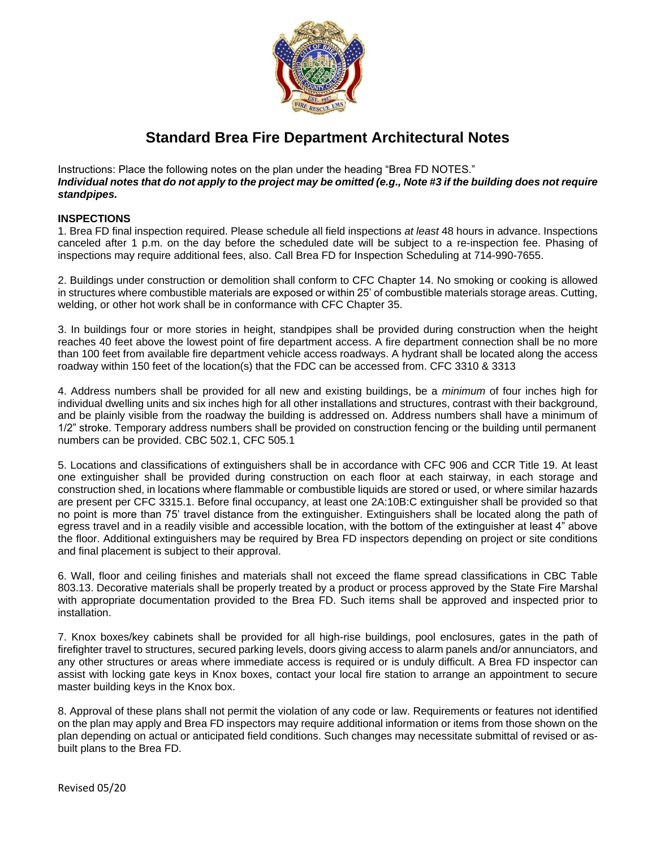

## **Standard Brea Fire Department Architectural Notes**

Instructions: Place the following notes on the plan under the heading "Brea FD NOTES." *Individual notes that do not apply to the project may be omitted (e.g., Note #3 if the building does not require standpipes.*

## **INSPECTIONS**

1. Brea FD final inspection required. Please schedule all field inspections *at least* 48 hours in advance. Inspections canceled after 1 p.m. on the day before the scheduled date will be subject to a re-inspection fee. Phasing of inspections may require additional fees, also. Call Brea FD for Inspection Scheduling at 714-990-7655.

2. Buildings under construction or demolition shall conform to CFC Chapter 14. No smoking or cooking is allowed in structures where combustible materials are exposed or within 25' of combustible materials storage areas. Cutting, welding, or other hot work shall be in conformance with CFC Chapter 35.

3. In buildings four or more stories in height, standpipes shall be provided during construction when the height reaches 40 feet above the lowest point of fire department access. A fire department connection shall be no more than 100 feet from available fire department vehicle access roadways. A hydrant shall be located along the access roadway within 150 feet of the location(s) that the FDC can be accessed from. CFC 3310 & 3313

4. Address numbers shall be provided for all new and existing buildings, be a *minimum* of four inches high for individual dwelling units and six inches high for all other installations and structures, contrast with their background, and be plainly visible from the roadway the building is addressed on. Address numbers shall have a minimum of 1/2" stroke. Temporary address numbers shall be provided on construction fencing or the building until permanent numbers can be provided. CBC 502.1, CFC 505.1

5. Locations and classifications of extinguishers shall be in accordance with CFC 906 and CCR Title 19. At least one extinguisher shall be provided during construction on each floor at each stairway, in each storage and construction shed, in locations where flammable or combustible liquids are stored or used, or where similar hazards are present per CFC 3315.1. Before final occupancy, at least one 2A:10B:C extinguisher shall be provided so that no point is more than 75' travel distance from the extinguisher. Extinguishers shall be located along the path of egress travel and in a readily visible and accessible location, with the bottom of the extinguisher at least 4" above the floor. Additional extinguishers may be required by Brea FD inspectors depending on project or site conditions and final placement is subject to their approval.

6. Wall, floor and ceiling finishes and materials shall not exceed the flame spread classifications in CBC Table 803.13. Decorative materials shall be properly treated by a product or process approved by the State Fire Marshal with appropriate documentation provided to the Brea FD. Such items shall be approved and inspected prior to installation.

7. Knox boxes/key cabinets shall be provided for all high-rise buildings, pool enclosures, gates in the path of firefighter travel to structures, secured parking levels, doors giving access to alarm panels and/or annunciators, and any other structures or areas where immediate access is required or is unduly difficult. A Brea FD inspector can assist with locking gate keys in Knox boxes, contact your local fire station to arrange an appointment to secure master building keys in the Knox box.

8. Approval of these plans shall not permit the violation of any code or law. Requirements or features not identified on the plan may apply and Brea FD inspectors may require additional information or items from those shown on the plan depending on actual or anticipated field conditions. Such changes may necessitate submittal of revised or asbuilt plans to the Brea FD.